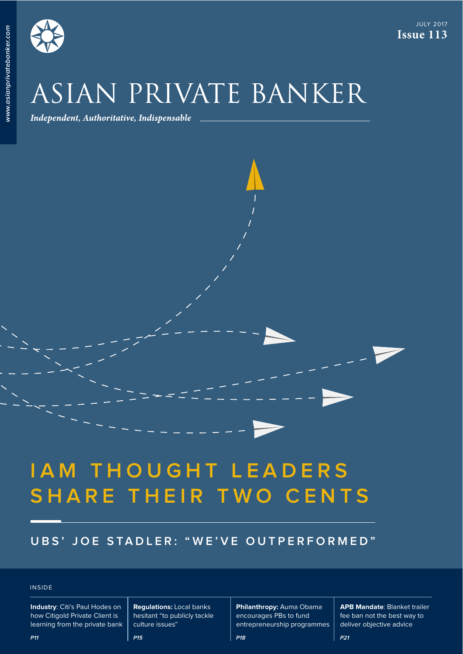**www.asianprivatebanker.com**

www.asianprivatebanker.com

JULY 2017 **Issue 113**

# ASIAN PRIVATE BANKER

Independent, Authoritative, Indispensable

## **IAM THOUGHT LEADERS SHARE THEIR TWO CENTS**

## **UBS' JOE STADLER: "WE'VE OUTPERFORMED"**

## INSIDE

**Industry**: Citi's Paul Hodes on how Citigold Private Client is learning from the private bank

**Regulations:** Local banks hesitant "to publicly tackle culture issues"

**P15**

**Philanthropy:** Auma Obama encourages PBs to fund entrepreneurship programmes

**P18**

**APB Mandate**: Blanket trailer fee ban not the best way to deliver objective advice

**P21**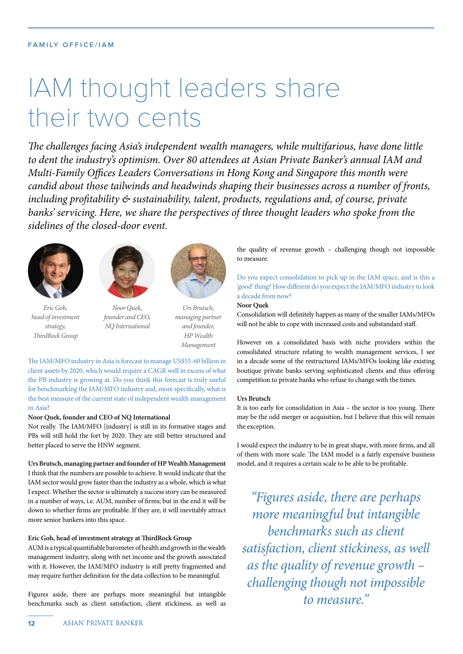## IAM thought leaders share their two cents

The challenges facing Asia's independent wealth managers, while multifarious, have done little to dent the industry's optimism. Over 80 attendees at Asian Private Banker's annual IAM and Multi-Family Offices Leaders Conversations in Hong Kong and Singapore this month were candid about those tailwinds and headwinds shaping their businesses across a number of fronts, including profitability & sustainability, talent, products, regulations and, of course, private banks' servicing. Here, we share the perspectives of three thought leaders who spoke from the sidelines of the closed-door event.



Eric Goh, head of investment strategy, ThirdRock Group



Noor Quek, founder and CEO, NQ International



Urs Brutsch, managing partner and founder, HP Wealth Management

The IAM/MFO industry in Asia is forecast to manage US\$55-60 billion in client assets by 2020, which would require a CAGR well in excess of what the PB industry is growing at. Do you think this forecast is truly useful for benchmarking the IAM/MFO industry and, more specifcally, what is the best measure of the current state of independent wealth management in Asia?

## **Noor Quek, founder and CEO of NQ International**

Not really. The IAM/MFO [industry] is still in its formative stages and PBs will still hold the fort by 2020. They are still better structured and better placed to serve the HNW segment.

**Urs Brutsch, managing partner and founder of HP Wealth Management** I think that the numbers are possible to achieve. It would indicate that the IAM sector would grow faster than the industry as a whole, which is what I expect. Whether the sector is ultimately a success story can be measured in a number of ways, i.e. AUM, number of frms; but in the end it will be down to whether frms are proftable. If they are, it will inevitably attract more senior bankers into this space.

## **Eric Goh, head of investment strategy at TirdRock Group**

AUM is a typical quantifable barometer of health and growth in the wealth management industry, along with net income and the growth associated with it. However, the IAM/MFO industry is still pretty fragmented and may require further defnition for the data collection to be meaningful.

Figures aside, there are perhaps more meaningful but intangible benchmarks such as client satisfaction, client stickiness, as well as

the quality of revenue growth – challenging though not impossible to measure.

Do you expect consolidation to pick up in the IAM space, and is this a 'good' thing? How diferent do you expect the IAM/MFO industry to look a decade from now?

**Noor Quek**

Consolidation will defnitely happen as many of the smaller IAMs/MFOs will not be able to cope with increased costs and substandard staf.

However on a consolidated basis with niche providers within the consolidated structure relating to wealth management services, I see in a decade some of the restructured IAMs/MFOs looking like existing boutique private banks serving sophisticated clients and thus ofering competition to private banks who refuse to change with the times.

#### **Urs Brutsch**

It is too early for consolidation in Asia – the sector is too young. There may be the odd merger or acquisition, but I believe that this will remain the exception.

I would expect the industry to be in great shape, with more frms, and all of them with more scale. The IAM model is a fairly expensive business model, and it requires a certain scale to be able to be proftable.

"Figures aside, there are perhaps more meaningful but intangible benchmarks such as client satisfaction, client stickiness, as well as the quality of revenue growth – challenging though not impossible to measure."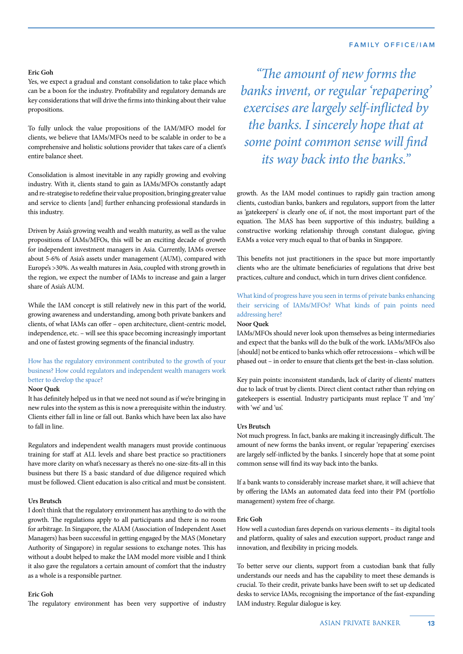#### **FAMILY OFFICE/IAM**

#### **Eric Goh**

Yes, we expect a gradual and constant consolidation to take place which can be a boon for the industry. Proftability and regulatory demands are key considerations that will drive the frms into thinking about their value propositions.

To fully unlock the value propositions of the IAM/MFO model for clients, we believe that IAMs/MFOs need to be scalable in order to be a comprehensive and holistic solutions provider that takes care of a client's entire balance sheet.

Consolidation is almost inevitable in any rapidly growing and evolving industry. With it, clients stand to gain as IAMs/MFOs constantly adapt and re-strategise to redefne their value proposition, bringing greater value and service to clients [and] further enhancing professional standards in this industry.

Driven by Asia's growing wealth and wealth maturity, as well as the value propositions of IAMs/MFOs, this will be an exciting decade of growth for independent investment managers in Asia. Currently, IAMs oversee about 5-6% of Asia's assets under management (AUM), compared with Europe's >30%. As wealth matures in Asia, coupled with strong growth in the region, we expect the number of IAMs to increase and gain a larger share of Asia's AUM.

While the IAM concept is still relatively new in this part of the world, growing awareness and understanding, among both private bankers and clients, of what IAMs can offer - open architecture, client-centric model, independence, etc. – will see this space becoming increasingly important and one of fastest growing segments of the fnancial industry.

## How has the regulatory environment contributed to the growth of your business? How could regulators and independent wealth managers work better to develop the space?

## **Noor Quek**

It has defnitely helped us in that we need not sound as if we're bringing in new rules into the system as this is now a prerequisite within the industry. Clients either fall in line or fall out. Banks which have been lax also have to fall in line.

Regulators and independent wealth managers must provide continuous training for staff at ALL levels and share best practice so practitioners have more clarity on what's necessary as there's no one-size-fts-all in this business but there IS a basic standard of due diligence required which must be followed. Client education is also critical and must be consistent.

#### **Urs Brutsch**

I don't think that the regulatory environment has anything to do with the growth. The regulations apply to all participants and there is no room for arbitrage. In Singapore, the AIAM (Association of Independent Asset Managers) has been successful in getting engaged by the MAS (Monetary Authority of Singapore) in regular sessions to exchange notes. This has without a doubt helped to make the IAM model more visible and I think it also gave the regulators a certain amount of comfort that the industry as a whole is a responsible partner.

### **Eric Goh**

The regulatory environment has been very supportive of industry

"The amount of new forms the banks invent, or regular 'repapering' exercises are largely self-inficted by the banks. I sincerely hope that at some point common sense will find its way back into the banks."

growth. As the IAM model continues to rapidly gain traction among clients, custodian banks, bankers and regulators, support from the latter as 'gatekeepers' is clearly one of, if not, the most important part of the equation. The MAS has been supportive of this industry, building a constructive working relationship through constant dialogue, giving EAMs a voice very much equal to that of banks in Singapore.

This benefits not just practitioners in the space but more importantly clients who are the ultimate benefciaries of regulations that drive best practices, culture and conduct, which in turn drives client confdence.

## What kind of progress have you seen in terms of private banks enhancing their servicing of IAMs/MFOs? What kinds of pain points need addressing here?

#### **Noor Quek**

IAMs/MFOs should never look upon themselves as being intermediaries and expect that the banks will do the bulk of the work. IAMs/MFOs also [should] not be enticed to banks which offer retrocessions - which will be phased out – in order to ensure that clients get the best-in-class solution.

Key pain points: inconsistent standards, lack of clarity of clients' matters due to lack of trust by clients. Direct client contact rather than relying on gatekeepers is essential. Industry participants must replace 'I' and 'my' with 'we' and 'us'.

#### **Urs Brutsch**

Not much progress. In fact, banks are making it increasingly difficult. The amount of new forms the banks invent, or regular 'repapering' exercises are largely self-inficted by the banks. I sincerely hope that at some point common sense will fnd its way back into the banks.

If a bank wants to considerably increase market share, it will achieve that by ofering the IAMs an automated data feed into their PM (portfolio management) system free of charge.

#### **Eric Goh**

How well a custodian fares depends on various elements – its digital tools and platform, quality of sales and execution support, product range and innovation, and fexibility in pricing models.

To better serve our clients, support from a custodian bank that fully understands our needs and has the capability to meet these demands is crucial. To their credit, private banks have been swift to set up dedicated desks to service IAMs, recognising the importance of the fast-expanding IAM industry. Regular dialogue is key.